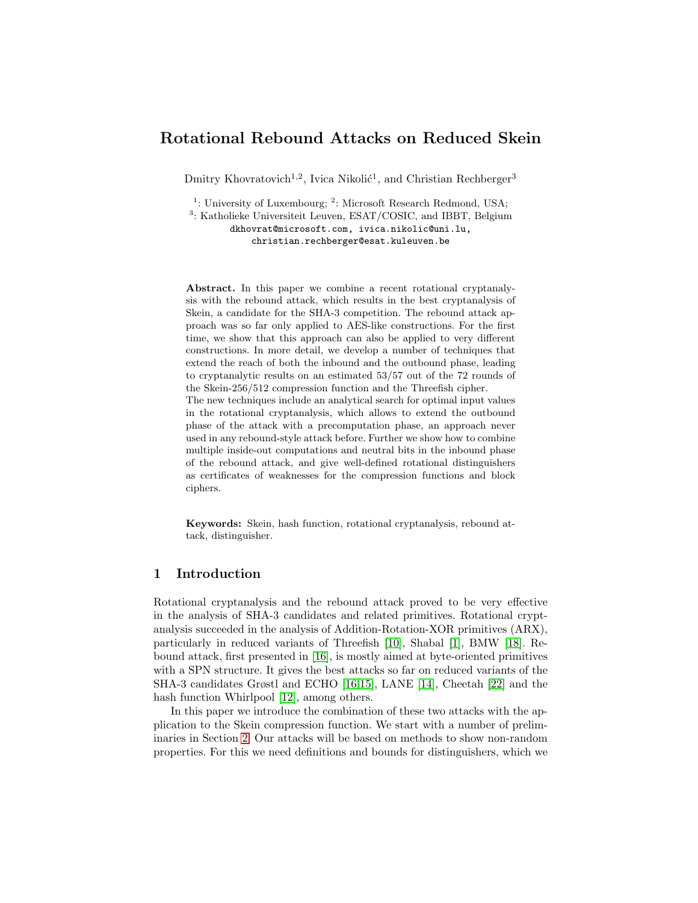# Rotational Rebound Attacks on Reduced Skein

Dmitry Khovratovich<sup>1,2</sup>, Ivica Nikolić<sup>1</sup>, and Christian Rechberger<sup>3</sup>

<sup>1</sup>: University of Luxembourg; <sup>2</sup>: Microsoft Research Redmond, USA; <sup>3</sup>: Katholieke Universiteit Leuven, ESAT/COSIC, and IBBT, Belgium dkhovrat@microsoft.com, ivica.nikolic@uni.lu, christian.rechberger@esat.kuleuven.be

Abstract. In this paper we combine a recent rotational cryptanalysis with the rebound attack, which results in the best cryptanalysis of Skein, a candidate for the SHA-3 competition. The rebound attack approach was so far only applied to AES-like constructions. For the first time, we show that this approach can also be applied to very different constructions. In more detail, we develop a number of techniques that extend the reach of both the inbound and the outbound phase, leading to cryptanalytic results on an estimated 53/57 out of the 72 rounds of the Skein-256/512 compression function and the Threefish cipher. The new techniques include an analytical search for optimal input values in the rotational cryptanalysis, which allows to extend the outbound

phase of the attack with a precomputation phase, an approach never used in any rebound-style attack before. Further we show how to combine multiple inside-out computations and neutral bits in the inbound phase of the rebound attack, and give well-defined rotational distinguishers as certificates of weaknesses for the compression functions and block ciphers.

Keywords: Skein, hash function, rotational cryptanalysis, rebound attack, distinguisher.

# 1 Introduction

Rotational cryptanalysis and the rebound attack proved to be very effective in the analysis of SHA-3 candidates and related primitives. Rotational cryptanalysis succeeded in the analysis of Addition-Rotation-XOR primitives (ARX), particularly in reduced variants of Threefish [\[10\]](#page-16-0), Shabal [\[1\]](#page-16-1), BMW [\[18\]](#page-17-0). Rebound attack, first presented in [\[16\]](#page-17-1), is mostly aimed at byte-oriented primitives with a SPN structure. It gives the best attacks so far on reduced variants of the SHA-3 candidates Grøstl and ECHO [\[16,](#page-17-1)[15\]](#page-17-2), LANE [\[14\]](#page-16-2), Cheetah [\[22\]](#page-17-3) and the hash function Whirlpool [\[12\]](#page-16-3), among others.

In this paper we introduce the combination of these two attacks with the application to the Skein compression function. We start with a number of preliminaries in Section [2.](#page-1-0) Our attacks will be based on methods to show non-random properties. For this we need definitions and bounds for distinguishers, which we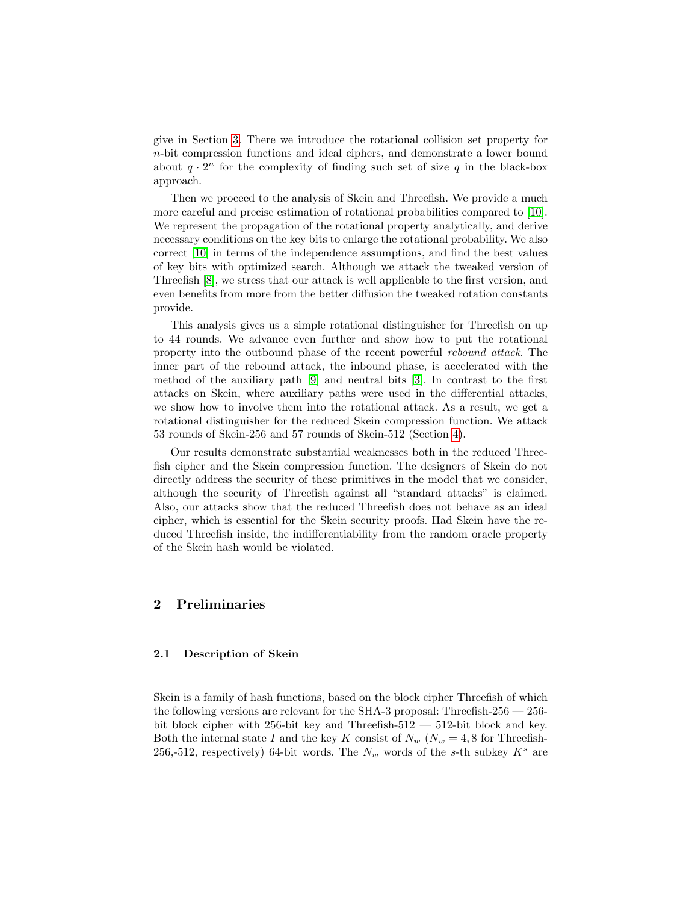give in Section [3.](#page-4-0) There we introduce the rotational collision set property for n-bit compression functions and ideal ciphers, and demonstrate a lower bound about  $q \cdot 2^n$  for the complexity of finding such set of size q in the black-box approach.

Then we proceed to the analysis of Skein and Threefish. We provide a much more careful and precise estimation of rotational probabilities compared to [\[10\]](#page-16-0). We represent the propagation of the rotational property analytically, and derive necessary conditions on the key bits to enlarge the rotational probability. We also correct [\[10\]](#page-16-0) in terms of the independence assumptions, and find the best values of key bits with optimized search. Although we attack the tweaked version of Threefish [\[8\]](#page-16-4), we stress that our attack is well applicable to the first version, and even benefits from more from the better diffusion the tweaked rotation constants provide.

This analysis gives us a simple rotational distinguisher for Threefish on up to 44 rounds. We advance even further and show how to put the rotational property into the outbound phase of the recent powerful rebound attack. The inner part of the rebound attack, the inbound phase, is accelerated with the method of the auxiliary path [\[9\]](#page-16-5) and neutral bits [\[3\]](#page-16-6). In contrast to the first attacks on Skein, where auxiliary paths were used in the differential attacks, we show how to involve them into the rotational attack. As a result, we get a rotational distinguisher for the reduced Skein compression function. We attack 53 rounds of Skein-256 and 57 rounds of Skein-512 (Section [4\)](#page-6-0).

Our results demonstrate substantial weaknesses both in the reduced Threefish cipher and the Skein compression function. The designers of Skein do not directly address the security of these primitives in the model that we consider, although the security of Threefish against all "standard attacks" is claimed. Also, our attacks show that the reduced Threefish does not behave as an ideal cipher, which is essential for the Skein security proofs. Had Skein have the reduced Threefish inside, the indifferentiability from the random oracle property of the Skein hash would be violated.

# <span id="page-1-0"></span>2 Preliminaries

## 2.1 Description of Skein

Skein is a family of hash functions, based on the block cipher Threefish of which the following versions are relevant for the SHA-3 proposal: Threefish-256 — 256 bit block cipher with 256-bit key and Threefish- $512 - 512$ -bit block and key. Both the internal state I and the key K consist of  $N_w$  ( $N_w$  = 4, 8 for Threefish-256,-512, respectively) 64-bit words. The  $N_w$  words of the s-th subkey  $K^s$  are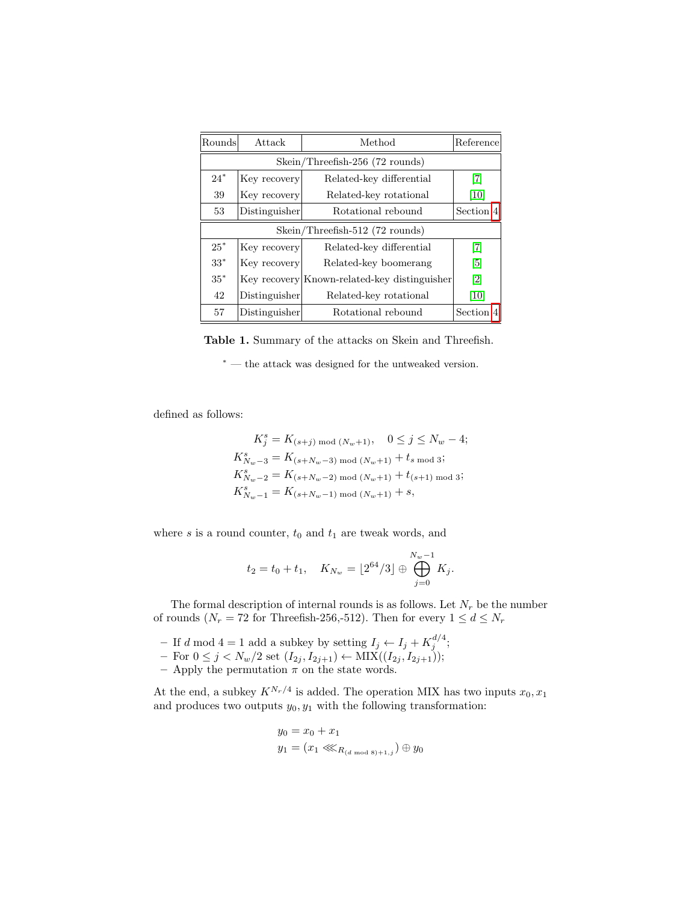| Rounds | Attack                          | Method                                       | Reference         |  |  |  |  |  |  |  |
|--------|---------------------------------|----------------------------------------------|-------------------|--|--|--|--|--|--|--|
|        | Skein/Threefish-256 (72 rounds) |                                              |                   |  |  |  |  |  |  |  |
| $24*$  | Key recovery                    | $[7]$                                        |                   |  |  |  |  |  |  |  |
| 39     | Key recovery                    | Related-key rotational                       | [10]              |  |  |  |  |  |  |  |
| 53     | Distinguisher                   | Rotational rebound                           | Section 4         |  |  |  |  |  |  |  |
|        |                                 | Skein/Threefish-512 (72 rounds)              |                   |  |  |  |  |  |  |  |
| $25*$  | Key recovery                    | Related-key differential                     | $[7]$             |  |  |  |  |  |  |  |
| $33*$  | Key recovery                    | Related-key boomerang                        | $\lceil 5 \rceil$ |  |  |  |  |  |  |  |
| $35*$  |                                 | Key recovery Known-related-key distinguisher | $\left[2\right]$  |  |  |  |  |  |  |  |
| 42     | Distinguisher                   | Related-key rotational                       | $[10]$            |  |  |  |  |  |  |  |
| 57     | Distinguisher                   | Rotational rebound                           | Section 4         |  |  |  |  |  |  |  |

Table 1. Summary of the attacks on Skein and Threefish.

<span id="page-2-0"></span><sup>∗</sup> — the attack was designed for the untweaked version.

defined as follows:

$$
K_j^s = K_{(s+j) \mod (N_w+1)}, \quad 0 \le j \le N_w - 4;
$$
  
\n
$$
K_{N_w-3}^s = K_{(s+N_w-3) \mod (N_w+1)} + t_s \mod 3;
$$
  
\n
$$
K_{N_w-2}^s = K_{(s+N_w-2) \mod (N_w+1)} + t_{(s+1) \mod 3};
$$
  
\n
$$
K_{N_w-1}^s = K_{(s+N_w-1) \mod (N_w+1)} + s,
$$

where  $s$  is a round counter,  $t_0$  and  $t_1$  are tweak words, and

$$
t_2 = t_0 + t_1
$$
,  $K_{N_w} = \lfloor 2^{64} / 3 \rfloor \oplus \bigoplus_{j=0}^{N_w - 1} K_j$ .

The formal description of internal rounds is as follows. Let  $N_r$  be the number of rounds ( $N_r = 72$  for Threefish-256,-512). Then for every  $1 \leq d \leq N_r$ 

- If d mod 4 = 1 add a subkey by setting  $I_j \leftarrow I_j + K_j^{d/4}$ ;
- $-$  For  $0 \le j \le N_w/2$  set  $(I_{2j}, I_{2j+1}) \leftarrow \text{MIX}((I_{2j}, I_{2j+1}))$ ;
- Apply the permutation  $\pi$  on the state words.

At the end, a subkey  $K^{N_r/4}$  is added. The operation MIX has two inputs  $x_0, x_1$ and produces two outputs  $y_0, y_1$  with the following transformation:

$$
y_0 = x_0 + x_1
$$
  
 $y_1 = (x_1 \ll x_{R_{(d \mod 8)+1,j}}) \oplus y_0$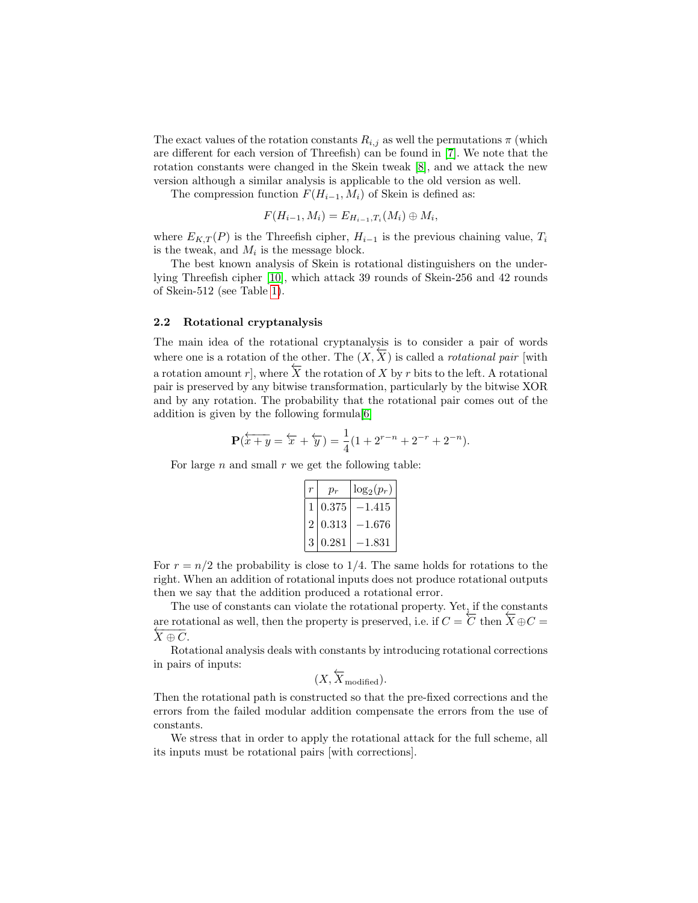The exact values of the rotation constants  $R_{i,j}$  as well the permutations  $\pi$  (which are different for each version of Threefish) can be found in [\[7\]](#page-16-7). We note that the rotation constants were changed in the Skein tweak [\[8\]](#page-16-4), and we attack the new version although a similar analysis is applicable to the old version as well.

The compression function  $F(H_{i-1}, M_i)$  of Skein is defined as:

$$
F(H_{i-1}, M_i) = E_{H_{i-1}, T_i}(M_i) \oplus M_i,
$$

where  $E_{K,T}(P)$  is the Threefish cipher,  $H_{i-1}$  is the previous chaining value,  $T_i$ is the tweak, and  $M_i$  is the message block.

The best known analysis of Skein is rotational distinguishers on the underlying Threefish cipher [\[10\]](#page-16-0), which attack 39 rounds of Skein-256 and 42 rounds of Skein-512 (see Table [1\)](#page-2-0).

#### 2.2 Rotational cryptanalysis

The main idea of the rotational cryptanalysis is to consider a pair of words where one is a rotation of the other. The  $(X, \overline{X})$  is called a *rotational pair* [with a rotation amount r], where  $\overline{X}$  the rotation of X by r bits to the left. A rotational pair is preserved by any bitwise transformation, particularly by the bitwise XOR and by any rotation. The probability that the rotational pair comes out of the addition is given by the following formula[\[6\]](#page-16-10)

$$
\mathbf{P}(\overleftarrow{x+y} = \overleftarrow{x} + \overleftarrow{y}) = \frac{1}{4}(1 + 2^{r-n} + 2^{-r} + 2^{-n}).
$$

For large  $n$  and small  $r$  we get the following table:

|                |       | $\log_2(p_r)$ |
|----------------|-------|---------------|
|                | 0.375 | –1.415        |
| $\overline{2}$ | 0.313 | -1.676        |
| 3              | 0.281 | 1.831         |

For  $r = n/2$  the probability is close to 1/4. The same holds for rotations to the right. When an addition of rotational inputs does not produce rotational outputs then we say that the addition produced a rotational error.

The use of constants can violate the rotational property. Yet, if the constants are rotational as well, then the property is preserved, i.e. if  $C = \overline{C}$  then  $\overline{X} \oplus C = \overline{X} \oplus C$  $\overline{X \oplus C}.$ 

Rotational analysis deals with constants by introducing rotational corrections in pairs of inputs:

$$
(X, \overleftarrow{X}_{\text{modified}}).
$$

Then the rotational path is constructed so that the pre-fixed corrections and the errors from the failed modular addition compensate the errors from the use of constants.

We stress that in order to apply the rotational attack for the full scheme, all its inputs must be rotational pairs [with corrections].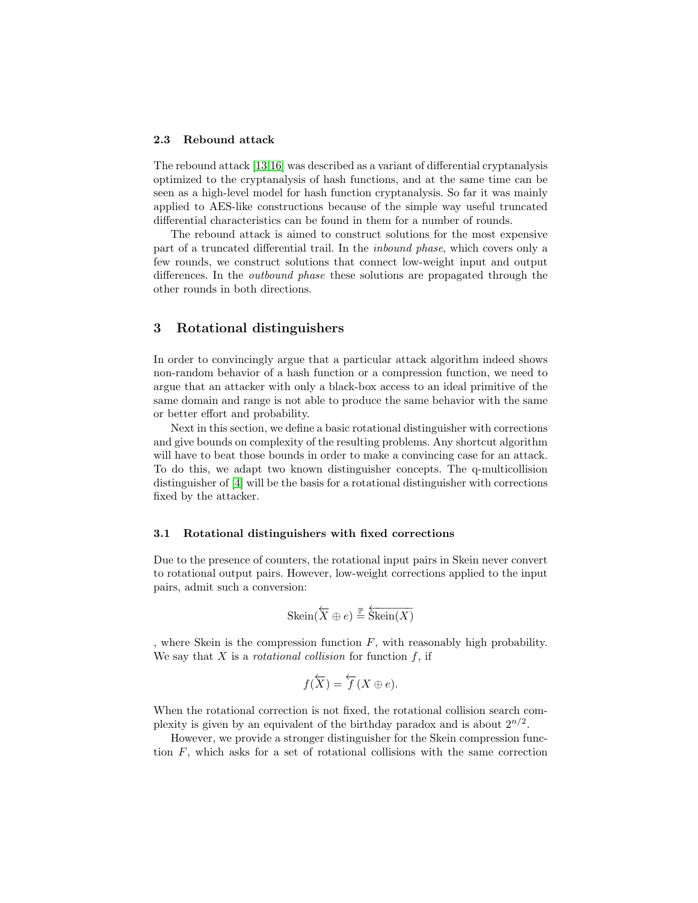#### 2.3 Rebound attack

The rebound attack [\[13](#page-16-11)[,16\]](#page-17-1) was described as a variant of differential cryptanalysis optimized to the cryptanalysis of hash functions, and at the same time can be seen as a high-level model for hash function cryptanalysis. So far it was mainly applied to AES-like constructions because of the simple way useful truncated differential characteristics can be found in them for a number of rounds.

The rebound attack is aimed to construct solutions for the most expensive part of a truncated differential trail. In the inbound phase, which covers only a few rounds, we construct solutions that connect low-weight input and output differences. In the outbound phase these solutions are propagated through the other rounds in both directions.

# <span id="page-4-0"></span>3 Rotational distinguishers

In order to convincingly argue that a particular attack algorithm indeed shows non-random behavior of a hash function or a compression function, we need to argue that an attacker with only a black-box access to an ideal primitive of the same domain and range is not able to produce the same behavior with the same or better effort and probability.

Next in this section, we define a basic rotational distinguisher with corrections and give bounds on complexity of the resulting problems. Any shortcut algorithm will have to beat those bounds in order to make a convincing case for an attack. To do this, we adapt two known distinguisher concepts. The q-multicollision distinguisher of [\[4\]](#page-16-12) will be the basis for a rotational distinguisher with corrections fixed by the attacker.

#### 3.1 Rotational distinguishers with fixed corrections

Due to the presence of counters, the rotational input pairs in Skein never convert to rotational output pairs. However, low-weight corrections applied to the input pairs, admit such a conversion:

$$
Skein(\overleftarrow{X} \oplus e) \stackrel{\mathbb{P}}{=} \overleftarrow{Skein(X)}
$$

, where Skein is the compression function  $F$ , with reasonably high probability. We say that  $X$  is a *rotational collision* for function  $f$ , if

$$
f(\overleftarrow{X}) = \overleftarrow{f}(X \oplus e).
$$

When the rotational correction is not fixed, the rotational collision search complexity is given by an equivalent of the birthday paradox and is about  $2^{n/2}$ .

However, we provide a stronger distinguisher for the Skein compression function F, which asks for a set of rotational collisions with the same correction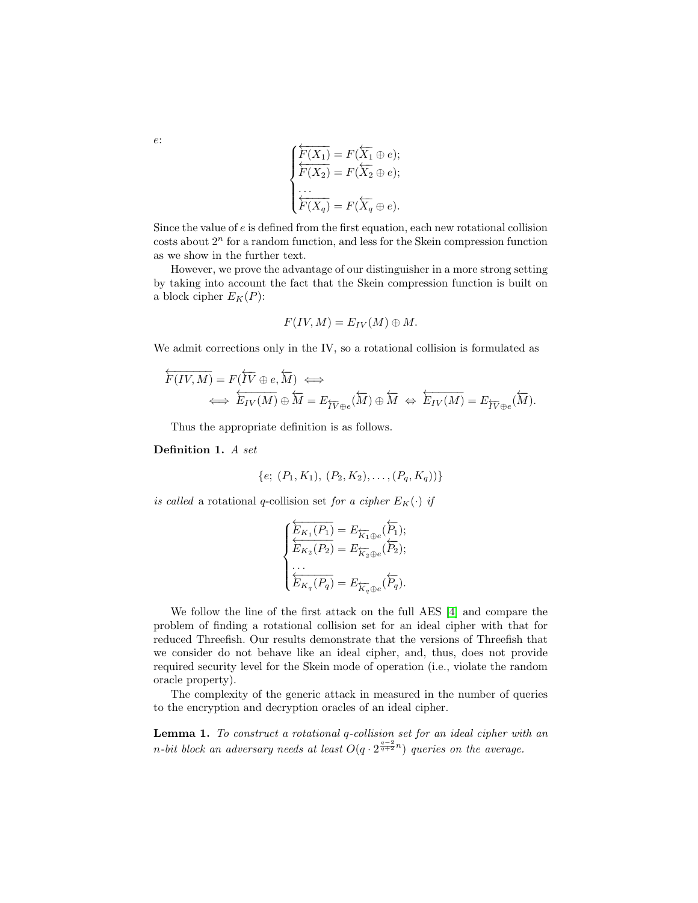$$
e: \qquad \qquad \begin{cases} \overleftarrow{F(X_1)} = F(\overleftarrow{X_1} \oplus e); \\ \overleftarrow{F(X_2)} = F(\overleftarrow{X_2} \oplus e); \\ \dots \\ \overleftarrow{F(X_q)} = F(\overleftarrow{X_q} \oplus e). \end{cases}
$$

Since the value of e is defined from the first equation, each new rotational collision costs about  $2<sup>n</sup>$  for a random function, and less for the Skein compression function as we show in the further text.

However, we prove the advantage of our distinguisher in a more strong setting by taking into account the fact that the Skein compression function is built on a block cipher  $E_K(P)$ :

$$
F(IV, M) = E_{IV}(M) \oplus M.
$$

We admit corrections only in the IV, so a rotational collision is formulated as

$$
\overleftarrow{F(IV,M)} = F(\overleftarrow{IV} \oplus e, \overleftarrow{M}) \iff
$$
  

$$
\iff \overleftarrow{E_{IV}(M)} \oplus \overleftarrow{M} = E_{\overleftarrow{IV} \oplus e}(\overleftarrow{M}) \oplus \overleftarrow{M} \iff \overleftarrow{E_{IV}(M)} = E_{\overleftarrow{IV} \oplus e}(\overleftarrow{M}).
$$

Thus the appropriate definition is as follows.

Definition 1. A set

$$
\{e; (P_1, K_1), (P_2, K_2), \ldots, (P_q, K_q))\}
$$

is called a rotational q-collision set for a cipher  $E_K(\cdot)$  if

$$
\begin{cases} \overleftarrow{E_{K_{1}}(P_{1})}=E_{\overleftarrow{K_{1}\oplus e}}(\overleftarrow{P_{1}});\\ \overleftarrow{E_{K_{2}}(P_{2})}=E_{\overleftarrow{K_{2}\oplus e}}(\overleftarrow{P_{2}});\\ \dots \\ \overleftarrow{E_{K_{q}}(P_{q})}=E_{\overleftarrow{K_{q}\oplus e}}(\overleftarrow{P_{q}}). \end{cases}
$$

We follow the line of the first attack on the full AES [\[4\]](#page-16-12) and compare the problem of finding a rotational collision set for an ideal cipher with that for reduced Threefish. Our results demonstrate that the versions of Threefish that we consider do not behave like an ideal cipher, and, thus, does not provide required security level for the Skein mode of operation (i.e., violate the random oracle property).

The complexity of the generic attack in measured in the number of queries to the encryption and decryption oracles of an ideal cipher.

<span id="page-5-0"></span>Lemma 1. To construct a rotational q-collision set for an ideal cipher with an n-bit block an adversary needs at least  $O(q \cdot 2^{\frac{q-2}{q+2}n})$  queries on the average.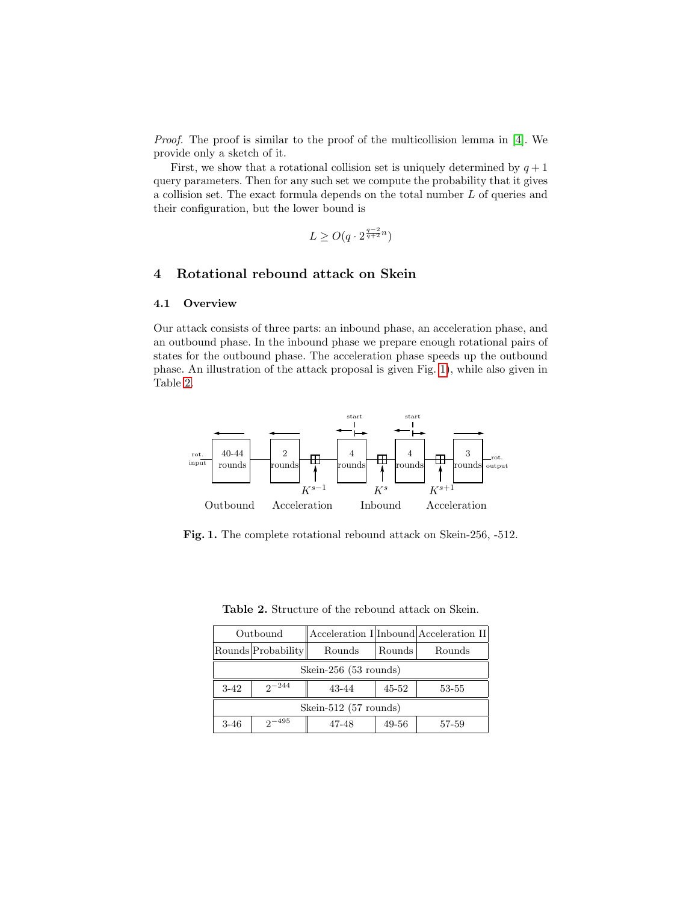Proof. The proof is similar to the proof of the multicollision lemma in [\[4\]](#page-16-12). We provide only a sketch of it.

First, we show that a rotational collision set is uniquely determined by  $q + 1$ query parameters. Then for any such set we compute the probability that it gives a collision set. The exact formula depends on the total number L of queries and their configuration, but the lower bound is

$$
L \ge O(q \cdot 2^{\frac{q-2}{q+2}n})
$$

# <span id="page-6-0"></span>4 Rotational rebound attack on Skein

#### 4.1 Overview

Our attack consists of three parts: an inbound phase, an acceleration phase, and an outbound phase. In the inbound phase we prepare enough rotational pairs of states for the outbound phase. The acceleration phase speeds up the outbound phase. An illustration of the attack proposal is given Fig. [1\)](#page-6-1), while also given in Table [2.](#page-6-2)



<span id="page-6-1"></span>Fig. 1. The complete rotational rebound attack on Skein-256, -512.

|          | Outbound                        |                    |        | Acceleration I Inbound Acceleration II |  |  |  |  |  |  |
|----------|---------------------------------|--------------------|--------|----------------------------------------|--|--|--|--|--|--|
|          | Rounds Probability              | Rounds             | Rounds | Rounds                                 |  |  |  |  |  |  |
|          | Skein- $256$ (53 rounds)        |                    |        |                                        |  |  |  |  |  |  |
| $3-42$   | $2^{-244}$                      | 43-44<br>$45 - 52$ |        | 53-55                                  |  |  |  |  |  |  |
|          | Skein-512 $(57 \text{ rounds})$ |                    |        |                                        |  |  |  |  |  |  |
| $3 - 46$ | $2^{\sim 495}$                  | 47-48              | 49-56  | 57-59                                  |  |  |  |  |  |  |

<span id="page-6-2"></span>Table 2. Structure of the rebound attack on Skein.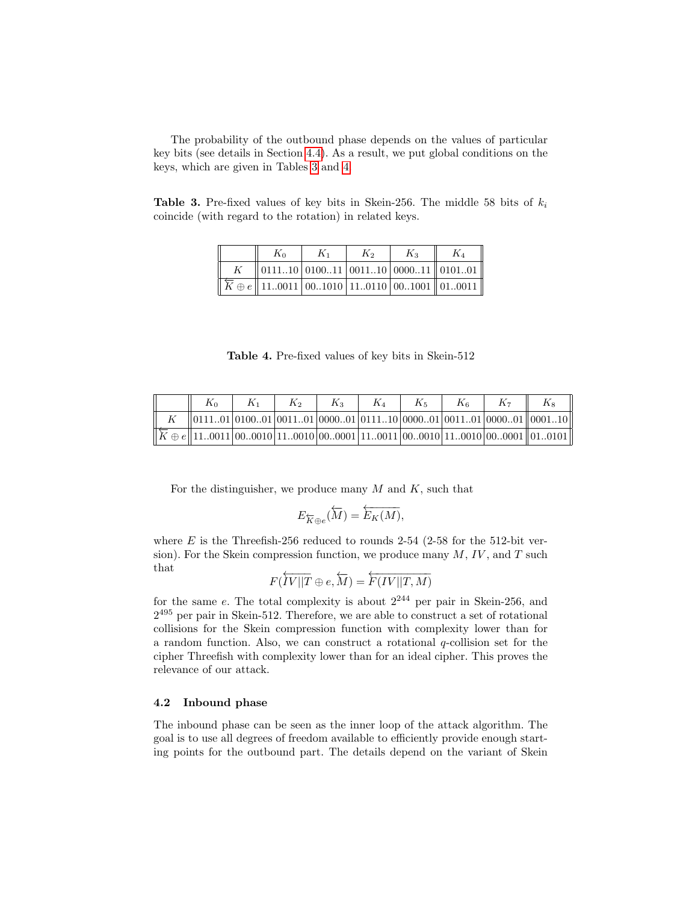The probability of the outbound phase depends on the values of particular key bits (see details in Section [4.4\)](#page-9-0). As a result, we put global conditions on the keys, which are given in Tables [3](#page-7-0) and [4.](#page-7-1)

<span id="page-7-0"></span>Table 3. Pre-fixed values of key bits in Skein-256. The middle 58 bits of  $k_i$ coincide (with regard to the rotation) in related keys.

|   | Kο                                                                      | $K_1$ | $K_2$ | $K_{2}$ | $K_4$ |  |
|---|-------------------------------------------------------------------------|-------|-------|---------|-------|--|
| K | $\ 011110 010011 001110 000011\ 010101 $                                |       |       |         |       |  |
|   | $\ \overline{K} \oplus e\ $ 110011   001010   110110   001001    010011 |       |       |         |       |  |

<span id="page-7-1"></span>Table 4. Pre-fixed values of key bits in Skein-512

| $K_0$ | $\cdot$   $K_1$ | $K_2$ | $K_3$ | $K_4$   $K_5$ | $K_6$   $K_7$    $K_8$ |                                                                                           |
|-------|-----------------|-------|-------|---------------|------------------------|-------------------------------------------------------------------------------------------|
|       |                 |       |       |               |                        | $K$   011101 010001 001101 000001 011110 000001 001101 000001  000110                     |
|       |                 |       |       |               |                        | $\ \overline{K}\oplus e\ $ 110011 000010 110010 000001 110011 000010 110010 000001 010101 |

For the distinguisher, we produce many  $M$  and  $K$ , such that

$$
E_{\overleftarrow{K} \oplus e}(\overleftarrow{M}) = \overleftarrow{E_K(M)},
$$

where  $E$  is the Threefish-256 reduced to rounds 2-54 (2-58 for the 512-bit version). For the Skein compression function, we produce many  $M, IV$ , and T such that

$$
F(\overleftarrow{IV}||\overrightarrow{T} \oplus e, \overleftarrow{M}) = \overleftarrow{F(IV}||\overrightarrow{T}, \overrightarrow{M})
$$

for the same  $e$ . The total complexity is about  $2^{244}$  per pair in Skein-256, and 2 <sup>495</sup> per pair in Skein-512. Therefore, we are able to construct a set of rotational collisions for the Skein compression function with complexity lower than for a random function. Also, we can construct a rotational q-collision set for the cipher Threefish with complexity lower than for an ideal cipher. This proves the relevance of our attack.

## 4.2 Inbound phase

The inbound phase can be seen as the inner loop of the attack algorithm. The goal is to use all degrees of freedom available to efficiently provide enough starting points for the outbound part. The details depend on the variant of Skein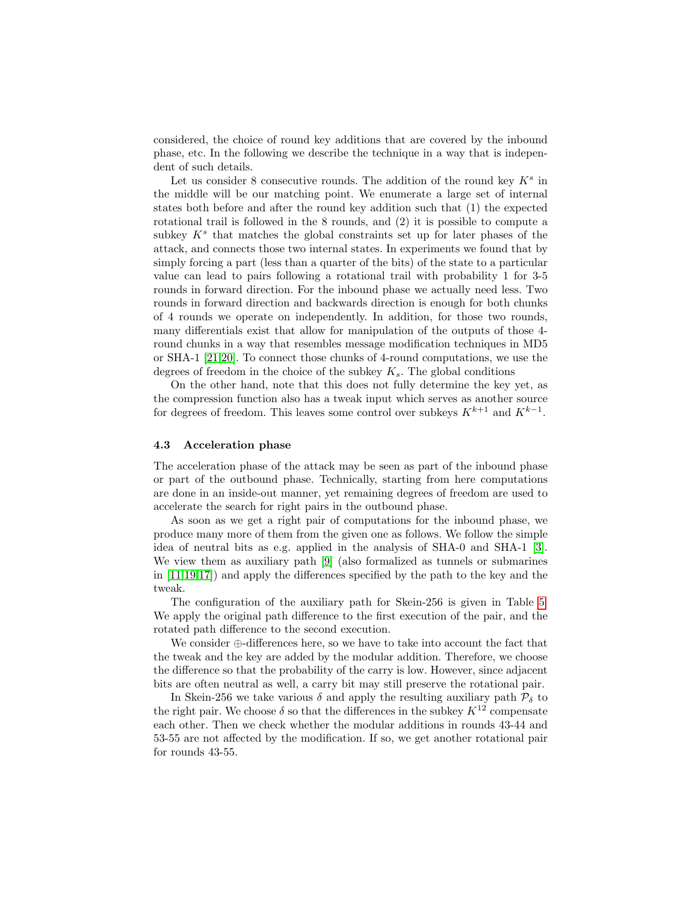considered, the choice of round key additions that are covered by the inbound phase, etc. In the following we describe the technique in a way that is independent of such details.

Let us consider 8 consecutive rounds. The addition of the round key  $K^s$  in the middle will be our matching point. We enumerate a large set of internal states both before and after the round key addition such that (1) the expected rotational trail is followed in the 8 rounds, and (2) it is possible to compute a subkey  $K^s$  that matches the global constraints set up for later phases of the attack, and connects those two internal states. In experiments we found that by simply forcing a part (less than a quarter of the bits) of the state to a particular value can lead to pairs following a rotational trail with probability 1 for 3-5 rounds in forward direction. For the inbound phase we actually need less. Two rounds in forward direction and backwards direction is enough for both chunks of 4 rounds we operate on independently. In addition, for those two rounds, many differentials exist that allow for manipulation of the outputs of those 4 round chunks in a way that resembles message modification techniques in MD5 or SHA-1 [\[21](#page-17-4)[,20\]](#page-17-5). To connect those chunks of 4-round computations, we use the degrees of freedom in the choice of the subkey  $K_s$ . The global conditions

On the other hand, note that this does not fully determine the key yet, as the compression function also has a tweak input which serves as another source for degrees of freedom. This leaves some control over subkeys  $K^{k+1}$  and  $K^{k-1}$ .

#### 4.3 Acceleration phase

The acceleration phase of the attack may be seen as part of the inbound phase or part of the outbound phase. Technically, starting from here computations are done in an inside-out manner, yet remaining degrees of freedom are used to accelerate the search for right pairs in the outbound phase.

As soon as we get a right pair of computations for the inbound phase, we produce many more of them from the given one as follows. We follow the simple idea of neutral bits as e.g. applied in the analysis of SHA-0 and SHA-1 [\[3\]](#page-16-6). We view them as auxiliary path [\[9\]](#page-16-5) (also formalized as tunnels or submarines in [\[11,](#page-16-13)[19,](#page-17-6)[17\]](#page-17-7)) and apply the differences specified by the path to the key and the tweak.

The configuration of the auxiliary path for Skein-256 is given in Table [5.](#page-9-1) We apply the original path difference to the first execution of the pair, and the rotated path difference to the second execution.

We consider ⊕-differences here, so we have to take into account the fact that the tweak and the key are added by the modular addition. Therefore, we choose the difference so that the probability of the carry is low. However, since adjacent bits are often neutral as well, a carry bit may still preserve the rotational pair.

In Skein-256 we take various  $\delta$  and apply the resulting auxiliary path  $\mathcal{P}_{\delta}$  to the right pair. We choose  $\delta$  so that the differences in the subkey  $K^{12}$  compensate each other. Then we check whether the modular additions in rounds 43-44 and 53-55 are not affected by the modification. If so, we get another rotational pair for rounds 43-55.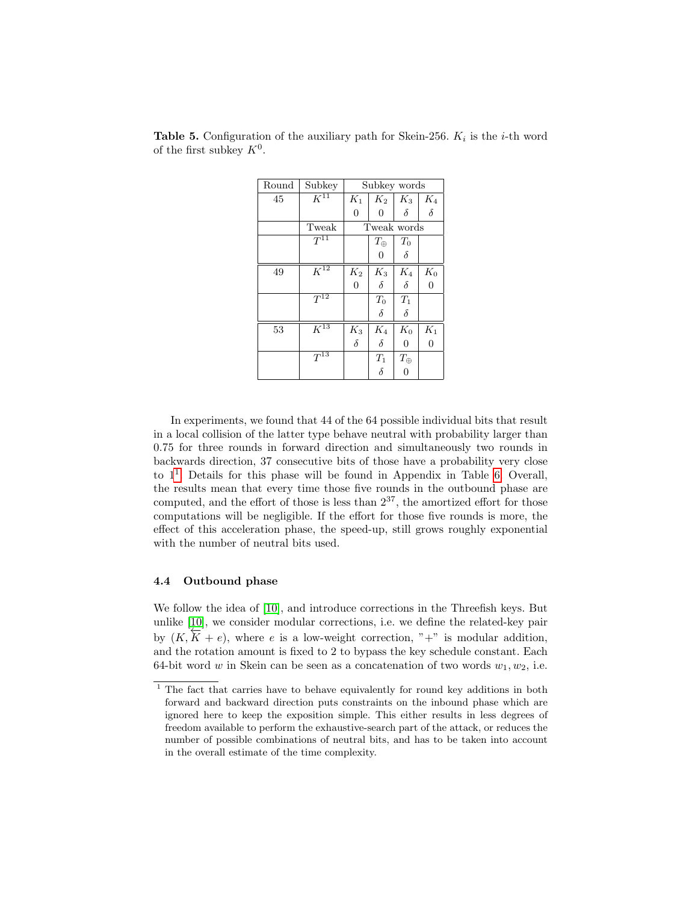| Round | Subkey              |                | Subkey words   |                 |                |
|-------|---------------------|----------------|----------------|-----------------|----------------|
| 45    | $K^{11}$            | $K_1$          | $K_2$          | $K_3$           | $K_4$          |
|       |                     | $\overline{0}$ | $\overline{0}$ | $\delta$        | $\delta$       |
|       | Tweak               |                | Tweak words    |                 |                |
|       | $T^{11}$            |                | $T_\oplus$     | $\mathcal{T}_0$ |                |
|       |                     |                | 0              | δ               |                |
| 49    | $\overline{K^{12}}$ | $K_2$          | $K_3$          | $K_4$           | $K_0$          |
|       |                     | $\overline{0}$ | $\delta$       | $\delta$        | $\overline{0}$ |
|       | $\overline{T^{12}}$ |                | $T_0$          | $T_1$           |                |
|       |                     |                | δ              | δ               |                |
| 53    | $\overline{K^{13}}$ | $K_3$          | $K_4$          | $K_0$           | $K_1$          |
|       |                     | $\delta$       | δ              | 0               | 0              |
|       | $\overline{T^{13}}$ |                | $T_1$          | $T_\oplus$      |                |
|       |                     |                | δ              |                 |                |

<span id="page-9-1"></span>**Table 5.** Configuration of the auxiliary path for Skein-256.  $K_i$  is the *i*-th word of the first subkey  $K^0$ .

In experiments, we found that 44 of the 64 possible individual bits that result in a local collision of the latter type behave neutral with probability larger than 0.75 for three rounds in forward direction and simultaneously two rounds in backwards direction, 37 consecutive bits of those have a probability very close to  $1<sup>1</sup>$  $1<sup>1</sup>$ . Details for this phase will be found in Appendix in Table [6.](#page-17-8) Overall, the results mean that every time those five rounds in the outbound phase are computed, and the effort of those is less than  $2^{37}$ , the amortized effort for those computations will be negligible. If the effort for those five rounds is more, the effect of this acceleration phase, the speed-up, still grows roughly exponential with the number of neutral bits used.

# <span id="page-9-0"></span>4.4 Outbound phase

We follow the idea of [\[10\]](#page-16-0), and introduce corrections in the Threefish keys. But unlike [\[10\]](#page-16-0), we consider modular corrections, i.e. we define the related-key pair by  $(K, K + e)$ , where e is a low-weight correction, "+" is modular addition, and the rotation amount is fixed to 2 to bypass the key schedule constant. Each 64-bit word w in Skein can be seen as a concatenation of two words  $w_1, w_2$ , i.e.

<span id="page-9-2"></span><sup>&</sup>lt;sup>1</sup> The fact that carries have to behave equivalently for round key additions in both forward and backward direction puts constraints on the inbound phase which are ignored here to keep the exposition simple. This either results in less degrees of freedom available to perform the exhaustive-search part of the attack, or reduces the number of possible combinations of neutral bits, and has to be taken into account in the overall estimate of the time complexity.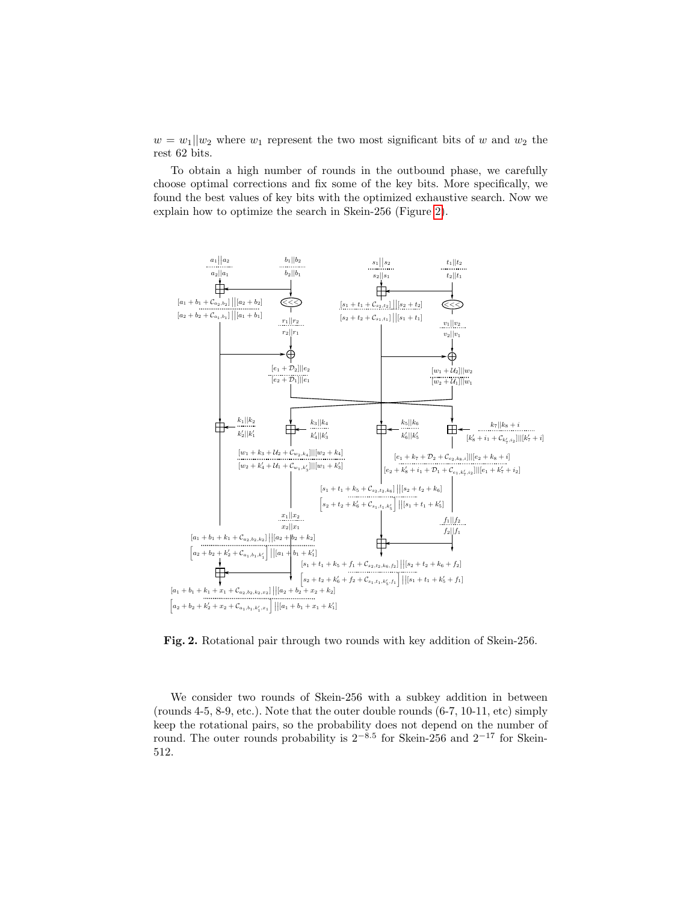$w = w_1||w_2$  where  $w_1$  represent the two most significant bits of w and  $w_2$  the rest 62 bits.

To obtain a high number of rounds in the outbound phase, we carefully choose optimal corrections and fix some of the key bits. More specifically, we found the best values of key bits with the optimized exhaustive search. Now we explain how to optimize the search in Skein-256 (Figure [2\)](#page-10-0).



<span id="page-10-0"></span>Fig. 2. Rotational pair through two rounds with key addition of Skein-256.

We consider two rounds of Skein-256 with a subkey addition in between (rounds 4-5, 8-9, etc.). Note that the outer double rounds (6-7, 10-11, etc) simply keep the rotational pairs, so the probability does not depend on the number of round. The outer rounds probability is  $2^{-8.5}$  for Skein-256 and  $2^{-17}$  for Skein-512.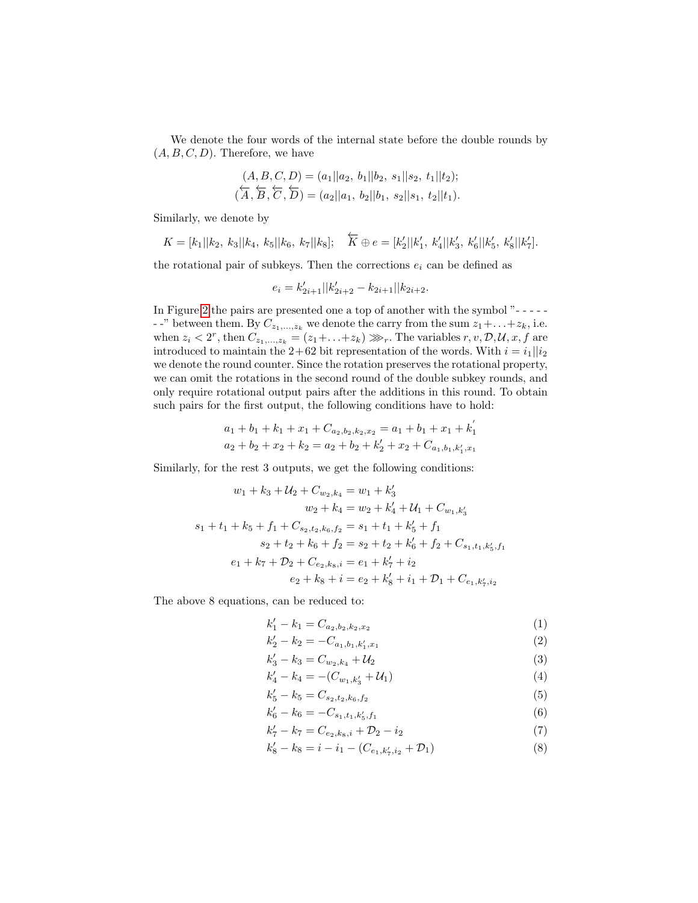We denote the four words of the internal state before the double rounds by  $(A, B, C, D)$ . Therefore, we have

$$
(A, B, C, D) = (a_1 || a_2, b_1 || b_2, s_1 || s_2, t_1 || t_2);
$$
  
\n
$$
(\overleftarrow{A}, \overleftarrow{B}, \overleftarrow{C}, \overleftarrow{D}) = (a_2 || a_1, b_2 || b_1, s_2 || s_1, t_2 || t_1).
$$

Similarly, we denote by

$$
K=[k_1||k_2,\,k_3||k_4,\,k_5||k_6,\,k_7||k_8];\quad \overleftarrow{K}\oplus e=[k_2'||k_1',\,k_4'||k_3',\,k_6'||k_5',\,k_8'||k_7'].
$$

the rotational pair of subkeys. Then the corrections  $e_i$  can be defined as

$$
e_i = k'_{2i+1} || k'_{2i+2} - k_{2i+1} || k_{2i+2}.
$$

In Figure [2](#page-10-0) the pairs are presented one a top of another with the symbol "- - - - - - " between them. By  $C_{z_1,\,\dots,z_k}$  we denote the carry from the sum  $z_1+\ldots+z_k$ , i.e. when  $z_i < 2^r$ , then  $C_{z_1,\ldots,z_k} = (z_1 + \ldots + z_k) \gg_r$ . The variables  $r, v, \mathcal{D}, \mathcal{U}, x, f$  are introduced to maintain the 2+62 bit representation of the words. With  $i = i_1||i_2$ we denote the round counter. Since the rotation preserves the rotational property, we can omit the rotations in the second round of the double subkey rounds, and only require rotational output pairs after the additions in this round. To obtain such pairs for the first output, the following conditions have to hold:

$$
a_1 + b_1 + k_1 + x_1 + C_{a_2,b_2,k_2,x_2} = a_1 + b_1 + x_1 + k'_1
$$
  

$$
a_2 + b_2 + x_2 + k_2 = a_2 + b_2 + k'_2 + x_2 + C_{a_1,b_1,k'_1,x_1}
$$

Similarly, for the rest 3 outputs, we get the following conditions:

$$
w_1 + k_3 + \mathcal{U}_2 + C_{w_2, k_4} = w_1 + k'_3
$$
  
\n
$$
w_2 + k_4 = w_2 + k'_4 + \mathcal{U}_1 + C_{w_1, k'_3}
$$
  
\n
$$
s_1 + t_1 + k_5 + f_1 + C_{s_2, t_2, k_6, f_2} = s_1 + t_1 + k'_5 + f_1
$$
  
\n
$$
s_2 + t_2 + k_6 + f_2 = s_2 + t_2 + k'_6 + f_2 + C_{s_1, t_1, k'_5, f_1}
$$
  
\n
$$
e_1 + k_7 + \mathcal{D}_2 + C_{e_2, k_8, i} = e_1 + k'_7 + i_2
$$
  
\n
$$
e_2 + k_8 + i = e_2 + k'_8 + i_1 + \mathcal{D}_1 + C_{e_1, k'_7, i_2}
$$

The above 8 equations, can be reduced to:

$$
k_1' - k_1 = C_{a_2, b_2, k_2, x_2} \tag{1}
$$

<span id="page-11-0"></span>
$$
k_2' - k_2 = -C_{a_1, b_1, k_1', x_1} \tag{2}
$$

$$
k_3' - k_3 = C_{w_2, k_4} + \mathcal{U}_2 \tag{3}
$$

$$
k_4' - k_4 = -(C_{w_1, k_3'} + \mathcal{U}_1) \tag{4}
$$

$$
k'_5 - k_5 = C_{s_2, t_2, k_6, f_2} \tag{5}
$$

$$
k'_6 - k_6 = -C_{s_1, t_1, k'_5, f_1} \tag{6}
$$

$$
k_7' - k_7 = C_{e_2, k_8, i} + D_2 - i_2 \tag{7}
$$

$$
k_8' - k_8 = i - i_1 - (C_{e_1, k_7', i_2} + \mathcal{D}_1)
$$
\n<sup>(8)</sup>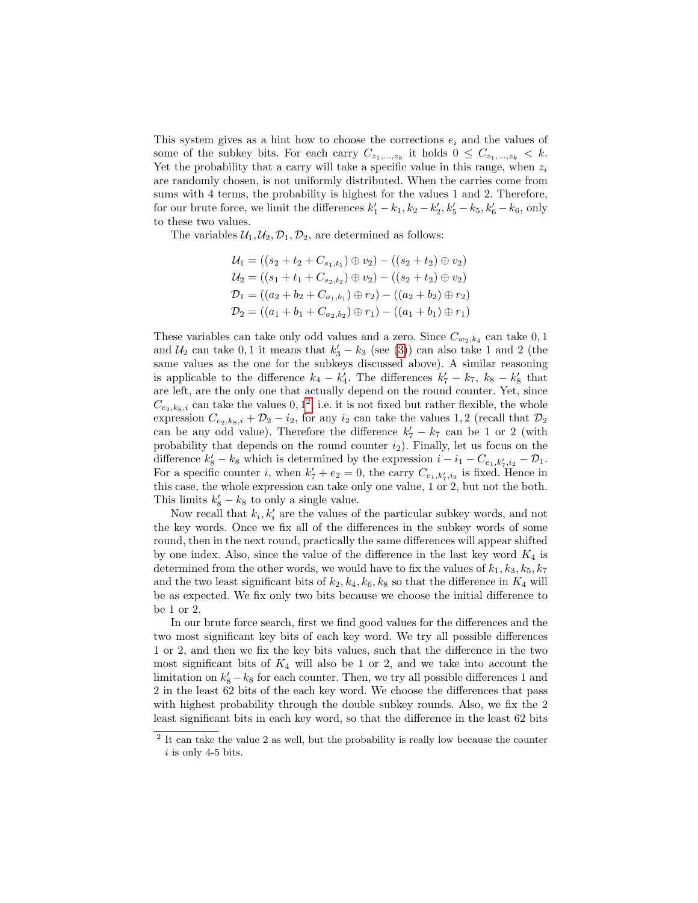This system gives as a hint how to choose the corrections  $e_i$  and the values of some of the subkey bits. For each carry  $C_{z_1,\dots,z_k}$  it holds  $0 \leq C_{z_1,\dots,z_k} < k$ . Yet the probability that a carry will take a specific value in this range, when  $z_i$ are randomly chosen, is not uniformly distributed. When the carries come from sums with 4 terms, the probability is highest for the values 1 and 2. Therefore, for our brute force, we limit the differences  $k'_1 - k_1, k_2 - k'_2, k'_5 - k_5, k'_6 - k_6$ , only to these two values.

The variables  $\mathcal{U}_1, \mathcal{U}_2, \mathcal{D}_1, \mathcal{D}_2$ , are determined as follows:

$$
\mathcal{U}_1 = ((s_2 + t_2 + C_{s_1, t_1}) \oplus v_2) - ((s_2 + t_2) \oplus v_2)
$$
  
\n
$$
\mathcal{U}_2 = ((s_1 + t_1 + C_{s_2, t_2}) \oplus v_2) - ((s_2 + t_2) \oplus v_2)
$$
  
\n
$$
\mathcal{D}_1 = ((a_2 + b_2 + C_{a_1, b_1}) \oplus r_2) - ((a_2 + b_2) \oplus r_2)
$$
  
\n
$$
\mathcal{D}_2 = ((a_1 + b_1 + C_{a_2, b_2}) \oplus r_1) - ((a_1 + b_1) \oplus r_1)
$$

These variables can take only odd values and a zero. Since  $C_{w_2,k_4}$  can take  $0,1$ and  $\mathcal{U}_2$  can take 0, 1 it means that  $k'_3 - k_3$  (see [\(3\)](#page-11-0)) can also take 1 and 2 (the same values as the one for the subkeys discussed above). A similar reasoning is applicable to the difference  $k_4 - k'_4$ . The differences  $k'_7 - k_7$ ,  $k_8 - k'_8$  that are left, are the only one that actually depend on the round counter. Yet, since  $C_{e_2,k_8,i}$  $C_{e_2,k_8,i}$  $C_{e_2,k_8,i}$  can take the values  $0,1^2$ , i.e. it is not fixed but rather flexible, the whole expression  $C_{e_2,k_8,i} + \mathcal{D}_2 - i_2$ , for any  $i_2$  can take the values 1, 2 (recall that  $\mathcal{D}_2$ can be any odd value). Therefore the difference  $k'_7 - k_7$  can be 1 or 2 (with probability that depends on the round counter  $i_2$ ). Finally, let us focus on the difference  $k'_8 - k_8$  which is determined by the expression  $i - i_1 - C_{e_1, k'_7, i_2} - \mathcal{D}_1$ . For a specific counter *i*, when  $k'_7 + e_2 = 0$ , the carry  $C_{e_1, k'_7, i_2}$  is fixed. Hence in this case, the whole expression can take only one value, 1 or 2, but not the both. This limits  $k'_8 - k_8$  to only a single value.

Now recall that  $k_i, k'_i$  are the values of the particular subkey words, and not the key words. Once we fix all of the differences in the subkey words of some round, then in the next round, practically the same differences will appear shifted by one index. Also, since the value of the difference in the last key word  $K_4$  is determined from the other words, we would have to fix the values of  $k_1, k_3, k_5, k_7$ and the two least significant bits of  $k_2, k_4, k_6, k_8$  so that the difference in  $K_4$  will be as expected. We fix only two bits because we choose the initial difference to be 1 or 2.

In our brute force search, first we find good values for the differences and the two most significant key bits of each key word. We try all possible differences 1 or 2, and then we fix the key bits values, such that the difference in the two most significant bits of  $K_4$  will also be 1 or 2, and we take into account the limitation on  $k'_8 - k_8$  for each counter. Then, we try all possible differences 1 and 2 in the least 62 bits of the each key word. We choose the differences that pass with highest probability through the double subkey rounds. Also, we fix the 2 least significant bits in each key word, so that the difference in the least 62 bits

<span id="page-12-0"></span><sup>&</sup>lt;sup>2</sup> It can take the value 2 as well, but the probability is really low because the counter  $i$  is only 4-5 bits.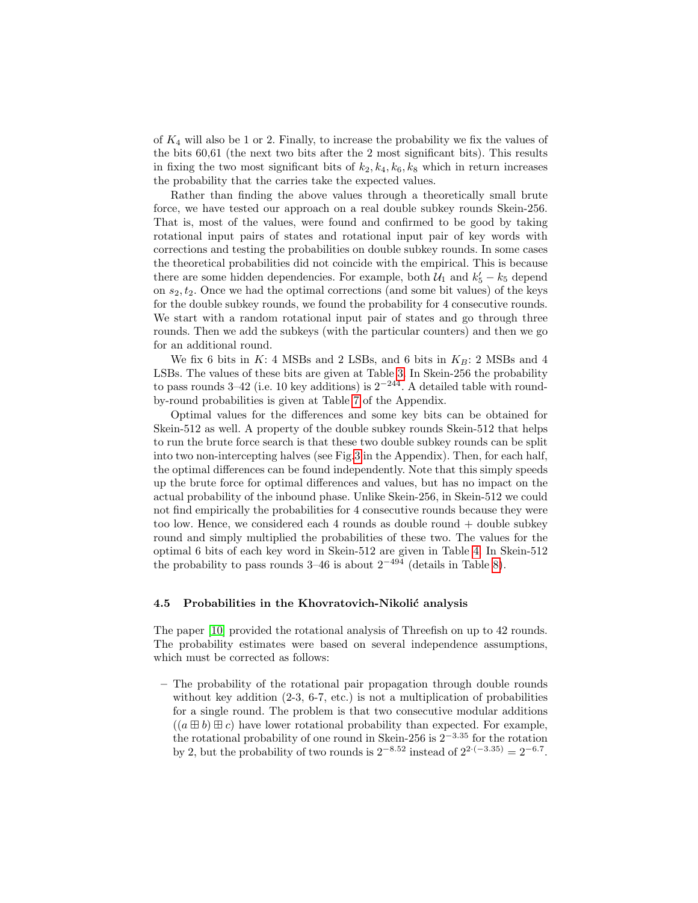of  $K_4$  will also be 1 or 2. Finally, to increase the probability we fix the values of the bits 60,61 (the next two bits after the 2 most significant bits). This results in fixing the two most significant bits of  $k_2, k_4, k_6, k_8$  which in return increases the probability that the carries take the expected values.

Rather than finding the above values through a theoretically small brute force, we have tested our approach on a real double subkey rounds Skein-256. That is, most of the values, were found and confirmed to be good by taking rotational input pairs of states and rotational input pair of key words with corrections and testing the probabilities on double subkey rounds. In some cases the theoretical probabilities did not coincide with the empirical. This is because there are some hidden dependencies. For example, both  $\mathcal{U}_1$  and  $k'_5 - k_5$  depend on  $s_2, t_2$ . Once we had the optimal corrections (and some bit values) of the keys for the double subkey rounds, we found the probability for 4 consecutive rounds. We start with a random rotational input pair of states and go through three rounds. Then we add the subkeys (with the particular counters) and then we go for an additional round.

We fix 6 bits in K: 4 MSBs and 2 LSBs, and 6 bits in  $K_B$ : 2 MSBs and 4 LSBs. The values of these bits are given at Table [3.](#page-7-0) In Skein-256 the probability to pass rounds  $3-42$  (i.e. 10 key additions) is  $2^{-244}$ . A detailed table with roundby-round probabilities is given at Table [7](#page-18-0) of the Appendix.

Optimal values for the differences and some key bits can be obtained for Skein-512 as well. A property of the double subkey rounds Skein-512 that helps to run the brute force search is that these two double subkey rounds can be split into two non-intercepting halves (see Fig[.3](#page-18-1) in the Appendix). Then, for each half, the optimal differences can be found independently. Note that this simply speeds up the brute force for optimal differences and values, but has no impact on the actual probability of the inbound phase. Unlike Skein-256, in Skein-512 we could not find empirically the probabilities for 4 consecutive rounds because they were too low. Hence, we considered each 4 rounds as double round + double subkey round and simply multiplied the probabilities of these two. The values for the optimal 6 bits of each key word in Skein-512 are given in Table [4.](#page-7-1) In Skein-512 the probability to pass rounds  $3-46$  is about  $2^{-494}$  (details in Table [8\)](#page-18-2).

#### 4.5 Probabilities in the Khovratovich-Nikolić analysis

The paper [\[10\]](#page-16-0) provided the rotational analysis of Threefish on up to 42 rounds. The probability estimates were based on several independence assumptions, which must be corrected as follows:

– The probability of the rotational pair propagation through double rounds without key addition (2-3, 6-7, etc.) is not a multiplication of probabilities for a single round. The problem is that two consecutive modular additions  $((a \boxplus b) \boxplus c)$  have lower rotational probability than expected. For example, the rotational probability of one round in Skein-256 is  $2^{-3.35}$  for the rotation by 2, but the probability of two rounds is  $2^{-8.52}$  instead of  $2^{2 \cdot (-3.35)} = 2^{-6.7}$ .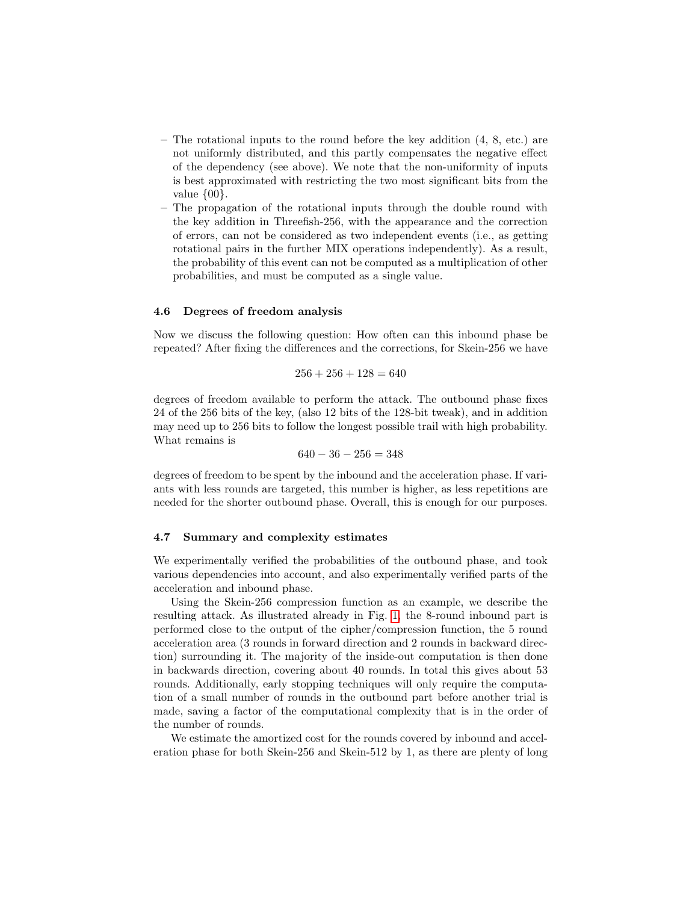- The rotational inputs to the round before the key addition (4, 8, etc.) are not uniformly distributed, and this partly compensates the negative effect of the dependency (see above). We note that the non-uniformity of inputs is best approximated with restricting the two most significant bits from the value {00}.
- The propagation of the rotational inputs through the double round with the key addition in Threefish-256, with the appearance and the correction of errors, can not be considered as two independent events (i.e., as getting rotational pairs in the further MIX operations independently). As a result, the probability of this event can not be computed as a multiplication of other probabilities, and must be computed as a single value.

### 4.6 Degrees of freedom analysis

Now we discuss the following question: How often can this inbound phase be repeated? After fixing the differences and the corrections, for Skein-256 we have

$$
256 + 256 + 128 = 640
$$

degrees of freedom available to perform the attack. The outbound phase fixes 24 of the 256 bits of the key, (also 12 bits of the 128-bit tweak), and in addition may need up to 256 bits to follow the longest possible trail with high probability. What remains is

$$
640 - 36 - 256 = 348
$$

degrees of freedom to be spent by the inbound and the acceleration phase. If variants with less rounds are targeted, this number is higher, as less repetitions are needed for the shorter outbound phase. Overall, this is enough for our purposes.

## 4.7 Summary and complexity estimates

We experimentally verified the probabilities of the outbound phase, and took various dependencies into account, and also experimentally verified parts of the acceleration and inbound phase.

Using the Skein-256 compression function as an example, we describe the resulting attack. As illustrated already in Fig. [1,](#page-6-1) the 8-round inbound part is performed close to the output of the cipher/compression function, the 5 round acceleration area (3 rounds in forward direction and 2 rounds in backward direction) surrounding it. The majority of the inside-out computation is then done in backwards direction, covering about 40 rounds. In total this gives about 53 rounds. Additionally, early stopping techniques will only require the computation of a small number of rounds in the outbound part before another trial is made, saving a factor of the computational complexity that is in the order of the number of rounds.

We estimate the amortized cost for the rounds covered by inbound and acceleration phase for both Skein-256 and Skein-512 by 1, as there are plenty of long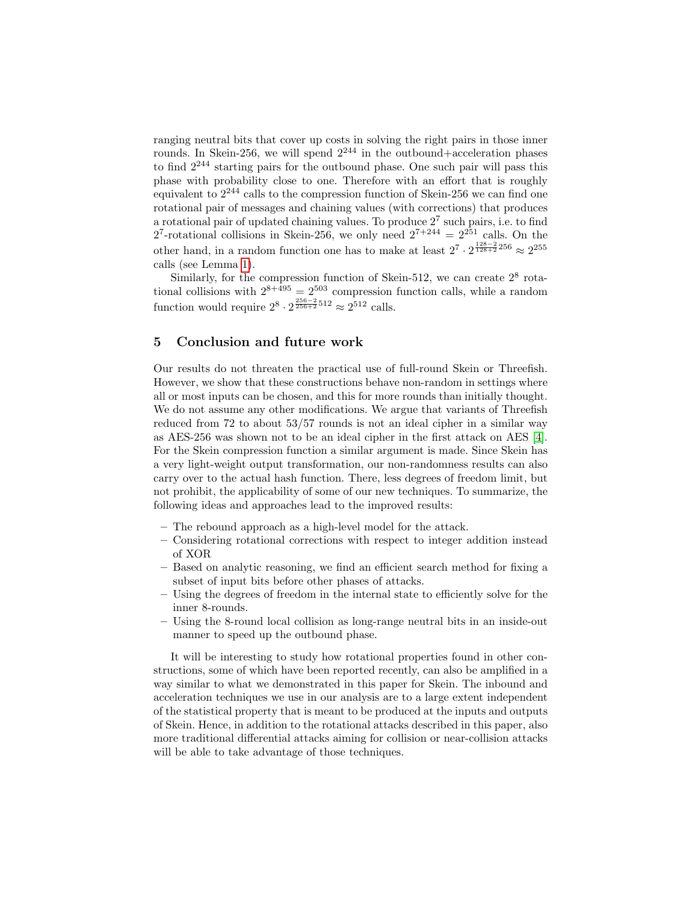ranging neutral bits that cover up costs in solving the right pairs in those inner rounds. In Skein-256, we will spend  $2^{244}$  in the outbound+acceleration phases to find 2<sup>244</sup> starting pairs for the outbound phase. One such pair will pass this phase with probability close to one. Therefore with an effort that is roughly equivalent to  $2^{244}$  calls to the compression function of Skein-256 we can find one rotational pair of messages and chaining values (with corrections) that produces a rotational pair of updated chaining values. To produce  $2<sup>7</sup>$  such pairs, i.e. to find  $2^7$ -rotational collisions in Skein-256, we only need  $2^{7+244} = 2^{251}$  calls. On the other hand, in a random function one has to make at least  $2^7 \cdot 2^{\frac{128-2}{128+2}256} \approx 2^{255}$ calls (see Lemma [1\)](#page-5-0).

Similarly, for the compression function of Skein-512, we can create  $2^8$  rotational collisions with  $2^{8+\overline{4}95} = 2^{503}$  compression function calls, while a random function would require  $2^8 \cdot 2^{\frac{256-2}{256+2}512} \approx 2^{512}$  calls.

# 5 Conclusion and future work

Our results do not threaten the practical use of full-round Skein or Threefish. However, we show that these constructions behave non-random in settings where all or most inputs can be chosen, and this for more rounds than initially thought. We do not assume any other modifications. We argue that variants of Threefish reduced from 72 to about 53/57 rounds is not an ideal cipher in a similar way as AES-256 was shown not to be an ideal cipher in the first attack on AES [\[4\]](#page-16-12). For the Skein compression function a similar argument is made. Since Skein has a very light-weight output transformation, our non-randomness results can also carry over to the actual hash function. There, less degrees of freedom limit, but not prohibit, the applicability of some of our new techniques. To summarize, the following ideas and approaches lead to the improved results:

- The rebound approach as a high-level model for the attack.
- Considering rotational corrections with respect to integer addition instead of XOR
- Based on analytic reasoning, we find an efficient search method for fixing a subset of input bits before other phases of attacks.
- Using the degrees of freedom in the internal state to efficiently solve for the inner 8-rounds.
- Using the 8-round local collision as long-range neutral bits in an inside-out manner to speed up the outbound phase.

It will be interesting to study how rotational properties found in other constructions, some of which have been reported recently, can also be amplified in a way similar to what we demonstrated in this paper for Skein. The inbound and acceleration techniques we use in our analysis are to a large extent independent of the statistical property that is meant to be produced at the inputs and outputs of Skein. Hence, in addition to the rotational attacks described in this paper, also more traditional differential attacks aiming for collision or near-collision attacks will be able to take advantage of those techniques.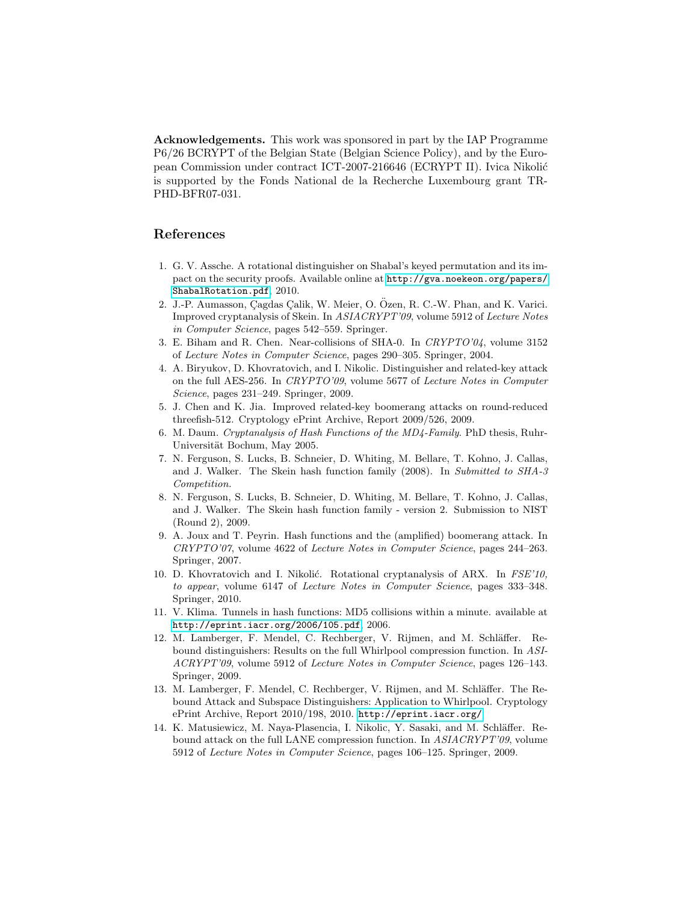Acknowledgements. This work was sponsored in part by the IAP Programme P6/26 BCRYPT of the Belgian State (Belgian Science Policy), and by the European Commission under contract ICT-2007-216646 (ECRYPT II). Ivica Nikolić is supported by the Fonds National de la Recherche Luxembourg grant TR-PHD-BFR07-031.

# References

- <span id="page-16-1"></span>1. G. V. Assche. A rotational distinguisher on Shabal's keyed permutation and its impact on the security proofs. Available online at  ${\tt http://gva.noekeon.org/papers/}$  ${\tt http://gva.noekeon.org/papers/}$  ${\tt http://gva.noekeon.org/papers/}$ [ShabalRotation.pdf](http://gva.noekeon.org/papers/ShabalRotation.pdf), 2010.
- <span id="page-16-9"></span>2. J.-P. Aumasson, Çagdas Çalik, W. Meier, O. Özen, R. C.-W. Phan, and K. Varici. Improved cryptanalysis of Skein. In ASIACRYPT'09, volume 5912 of Lecture Notes in Computer Science, pages 542–559. Springer.
- <span id="page-16-6"></span>3. E. Biham and R. Chen. Near-collisions of SHA-0. In  $CRYPTO'04$ , volume 3152 of Lecture Notes in Computer Science, pages 290–305. Springer, 2004.
- <span id="page-16-12"></span>4. A. Biryukov, D. Khovratovich, and I. Nikolic. Distinguisher and related-key attack on the full AES-256. In CRYPTO'09, volume 5677 of Lecture Notes in Computer Science, pages 231–249. Springer, 2009.
- <span id="page-16-8"></span>5. J. Chen and K. Jia. Improved related-key boomerang attacks on round-reduced threefish-512. Cryptology ePrint Archive, Report 2009/526, 2009.
- <span id="page-16-10"></span>6. M. Daum. Cryptanalysis of Hash Functions of the MD4-Family. PhD thesis, Ruhr-Universität Bochum, May 2005.
- <span id="page-16-7"></span>7. N. Ferguson, S. Lucks, B. Schneier, D. Whiting, M. Bellare, T. Kohno, J. Callas, and J. Walker. The Skein hash function family (2008). In Submitted to SHA-3 Competition.
- <span id="page-16-4"></span>8. N. Ferguson, S. Lucks, B. Schneier, D. Whiting, M. Bellare, T. Kohno, J. Callas, and J. Walker. The Skein hash function family - version 2. Submission to NIST (Round 2), 2009.
- <span id="page-16-5"></span>9. A. Joux and T. Peyrin. Hash functions and the (amplified) boomerang attack. In CRYPTO'07, volume 4622 of Lecture Notes in Computer Science, pages 244–263. Springer, 2007.
- <span id="page-16-0"></span>10. D. Khovratovich and I. Nikolić. Rotational cryptanalysis of ARX. In  $FSE'10$ , to appear, volume 6147 of Lecture Notes in Computer Science, pages 333–348. Springer, 2010.
- <span id="page-16-13"></span>11. V. Klima. Tunnels in hash functions: MD5 collisions within a minute. available at <http://eprint.iacr.org/2006/105.pdf>, 2006.
- <span id="page-16-3"></span>12. M. Lamberger, F. Mendel, C. Rechberger, V. Rijmen, and M. Schläffer. Rebound distinguishers: Results on the full Whirlpool compression function. In ASI-ACRYPT'09, volume 5912 of Lecture Notes in Computer Science, pages 126–143. Springer, 2009.
- <span id="page-16-11"></span>13. M. Lamberger, F. Mendel, C. Rechberger, V. Rijmen, and M. Schläffer. The Rebound Attack and Subspace Distinguishers: Application to Whirlpool. Cryptology ePrint Archive, Report 2010/198, 2010. <http://eprint.iacr.org/>.
- <span id="page-16-2"></span>14. K. Matusiewicz, M. Naya-Plasencia, I. Nikolic, Y. Sasaki, and M. Schläffer. Rebound attack on the full LANE compression function. In ASIACRYPT'09, volume 5912 of Lecture Notes in Computer Science, pages 106–125. Springer, 2009.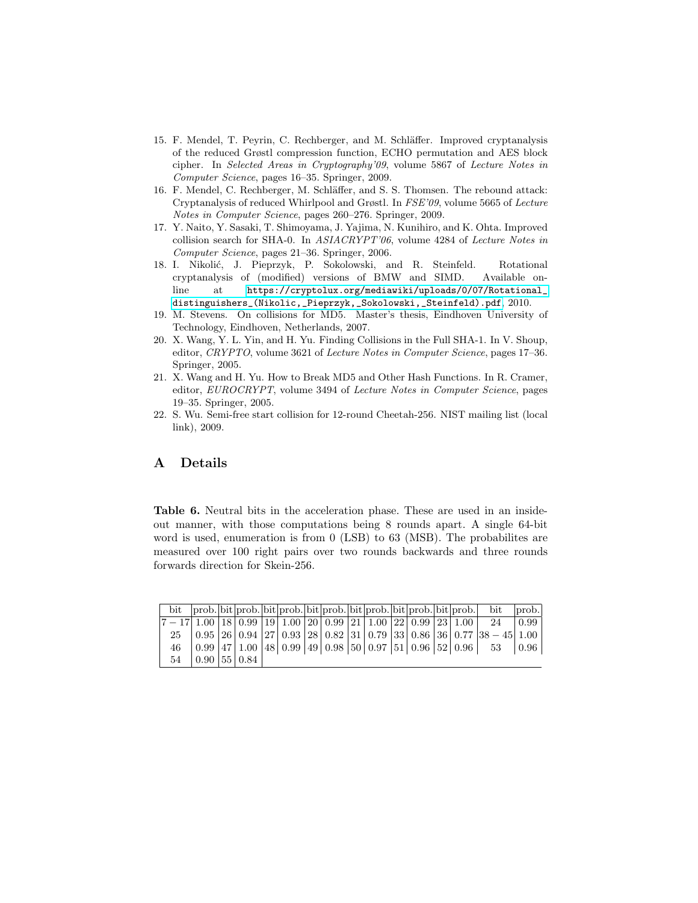- <span id="page-17-2"></span>15. F. Mendel, T. Peyrin, C. Rechberger, and M. Schläffer. Improved cryptanalysis of the reduced Grøstl compression function, ECHO permutation and AES block cipher. In Selected Areas in Cryptography'09, volume 5867 of Lecture Notes in Computer Science, pages 16–35. Springer, 2009.
- <span id="page-17-1"></span>16. F. Mendel, C. Rechberger, M. Schläffer, and S. S. Thomsen. The rebound attack: Cryptanalysis of reduced Whirlpool and Grøstl. In FSE'09, volume 5665 of Lecture Notes in Computer Science, pages 260–276. Springer, 2009.
- <span id="page-17-7"></span>17. Y. Naito, Y. Sasaki, T. Shimoyama, J. Yajima, N. Kunihiro, and K. Ohta. Improved collision search for SHA-0. In ASIACRYPT'06, volume 4284 of Lecture Notes in Computer Science, pages 21–36. Springer, 2006.
- <span id="page-17-0"></span>18. I. Nikolić, J. Pieprzyk, P. Sokolowski, and R. Steinfeld. Rotational cryptanalysis of (modified) versions of BMW and SIMD. Available online at [https://cryptolux.org/mediawiki/uploads/0/07/Rotational\\_](https://cryptolux.org/mediawiki/uploads/0/07/Rotational_distinguishers_(Nikolic,_Pieprzyk,_Sokolowski,_Steinfeld).pdf) [distinguishers\\_\(Nikolic,\\_Pieprzyk,\\_Sokolowski,\\_Steinfeld\).pdf](https://cryptolux.org/mediawiki/uploads/0/07/Rotational_distinguishers_(Nikolic,_Pieprzyk,_Sokolowski,_Steinfeld).pdf), 2010.
- <span id="page-17-6"></span>19. M. Stevens. On collisions for MD5. Master's thesis, Eindhoven University of Technology, Eindhoven, Netherlands, 2007.
- <span id="page-17-5"></span>20. X. Wang, Y. L. Yin, and H. Yu. Finding Collisions in the Full SHA-1. In V. Shoup, editor, CRYPTO, volume 3621 of Lecture Notes in Computer Science, pages 17–36. Springer, 2005.
- <span id="page-17-4"></span>21. X. Wang and H. Yu. How to Break MD5 and Other Hash Functions. In R. Cramer, editor, EUROCRYPT, volume 3494 of Lecture Notes in Computer Science, pages 19–35. Springer, 2005.
- <span id="page-17-3"></span>22. S. Wu. Semi-free start collision for 12-round Cheetah-256. NIST mailing list (local link), 2009.

# A Details

<span id="page-17-8"></span>Table 6. Neutral bits in the acceleration phase. These are used in an insideout manner, with those computations being 8 rounds apart. A single 64-bit word is used, enumeration is from 0 (LSB) to 63 (MSB). The probabilites are measured over 100 right pairs over two rounds backwards and three rounds forwards direction for Skein-256.

|    |  |                      |  |  |  |  |  | bit prob. bit prob. bit prob. bit prob. bit prob. bit prob. bit prob. bit prob.                        |  |
|----|--|----------------------|--|--|--|--|--|--------------------------------------------------------------------------------------------------------|--|
|    |  |                      |  |  |  |  |  | $\sqrt{7-17}$ 1.00   18   0.99   19   1.00   20   0.99   21   1.00   22   0.99   23   1.00   24   0.99 |  |
|    |  |                      |  |  |  |  |  | 25   0.95   26   0.94   27   0.93   28   0.82   31   0.79   33   0.86   36   0.77   38 $-45$   1.00    |  |
|    |  |                      |  |  |  |  |  | 46   0.99   47   1.00   48   0.99   49   0.98   50   0.97   51   0.96   52   0.96   53   0.96          |  |
| 54 |  | $0.90\,$ 55   $0.84$ |  |  |  |  |  |                                                                                                        |  |